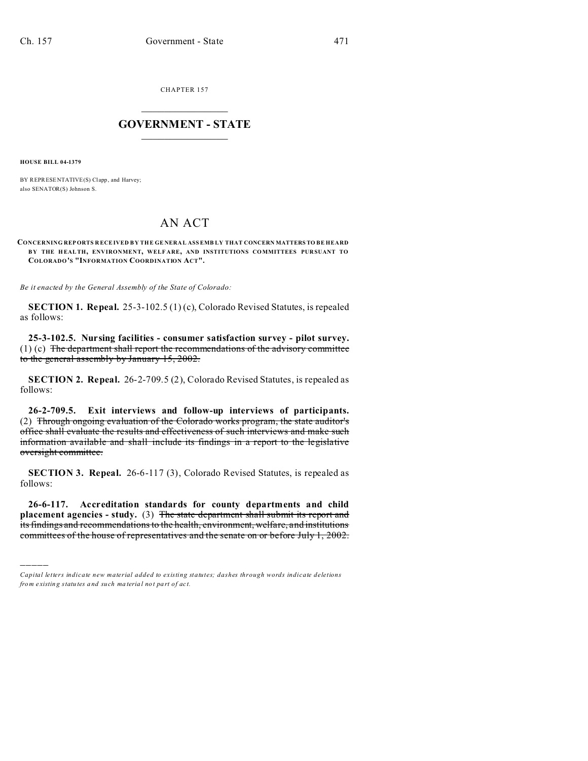CHAPTER 157  $\overline{\phantom{a}}$  , where  $\overline{\phantom{a}}$ 

## **GOVERNMENT - STATE**  $\_$   $\_$   $\_$   $\_$   $\_$   $\_$   $\_$   $\_$   $\_$

**HOUSE BILL 04-1379**

)))))

BY REPRESENTATIVE(S) Clapp, and Harvey; also SENATOR(S) Johnson S.

## AN ACT

**CONCERNING REP ORTS R ECEIVED B Y THE GE NERA L ASSEMB LY THAT CONCERN MATTERS TO BE HEARD B Y THE H EALTH, ENVIRONMENT, WELF ARE, AND INSTITUTIONS COMMITTEES PUR SUANT TO COLORADO'S "INFORMATION COORDINATION ACT".**

*Be it enacted by the General Assembly of the State of Colorado:*

**SECTION 1. Repeal.** 25-3-102.5 (1) (c), Colorado Revised Statutes, is repealed as follows:

**25-3-102.5. Nursing facilities - consumer satisfaction survey - pilot survey.**  $(1)$  (c) The department shall report the recommendations of the advisory committee to the general assembly by January 15, 2002.

**SECTION 2. Repeal.** 26-2-709.5 (2), Colorado Revised Statutes, is repealed as follows:

**26-2-709.5. Exit interviews and follow-up interviews of participants.** (2) Through ongoing evaluation of the Colorado works program, the state auditor's office shall evaluate the results and effectiveness of such interviews and make such information available and shall include its findings in a report to the legislative oversight committee.

**SECTION 3. Repeal.** 26-6-117 (3), Colorado Revised Statutes, is repealed as follows:

**26-6-117. Accreditation standards for county departments and child placement agencies - study.** (3) The state department shall submit its report and its findings and recommendations to the health, environment, welfare, and institutions committees of the house of representatives and the senate on or before July 1, 2002.

*Capital letters indicate new material added to existing statutes; dashes through words indicate deletions from e xistin g statu tes a nd such ma teria l no t pa rt of ac t.*